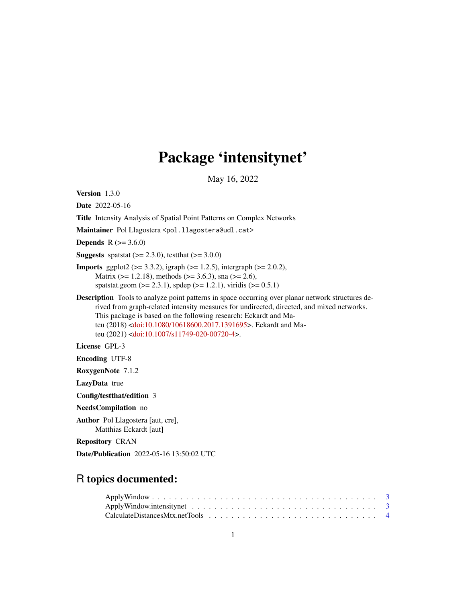# Package 'intensitynet'

May 16, 2022

Version 1.3.0 Date 2022-05-16 Title Intensity Analysis of Spatial Point Patterns on Complex Networks Maintainer Pol Llagostera <pol.llagostera@udl.cat> **Depends** R  $(>= 3.6.0)$ **Suggests** spatstat  $(>= 2.3.0)$ , test that  $(>= 3.0.0)$ **Imports** ggplot2 ( $> = 3.3.2$ ), igraph ( $> = 1.2.5$ ), intergraph ( $> = 2.0.2$ ), Matrix ( $> = 1.2.18$ ), methods ( $> = 3.6.3$ ), sna ( $> = 2.6$ ), spatstat.geom ( $>= 2.3.1$ ), spdep ( $>= 1.2.1$ ), viridis ( $>= 0.5.1$ ) Description Tools to analyze point patterns in space occurring over planar network structures derived from graph-related intensity measures for undirected, directed, and mixed networks. This package is based on the following research: Eckardt and Mateu (2018) [<doi:10.1080/10618600.2017.1391695>](https://doi.org/10.1080/10618600.2017.1391695). Eckardt and Mateu (2021) [<doi:10.1007/s11749-020-00720-4>](https://doi.org/10.1007/s11749-020-00720-4). License GPL-3 Encoding UTF-8 RoxygenNote 7.1.2 LazyData true Config/testthat/edition 3 NeedsCompilation no Author Pol Llagostera [aut, cre], Matthias Eckardt [aut]

Repository CRAN

Date/Publication 2022-05-16 13:50:02 UTC

# R topics documented: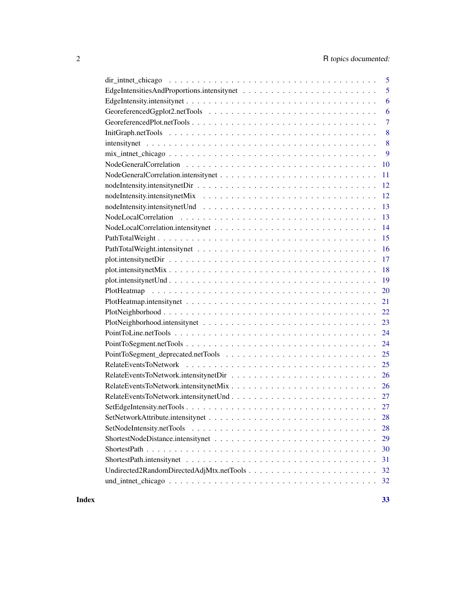| 5                                              |
|------------------------------------------------|
| 5                                              |
| 6                                              |
| 6                                              |
| $\overline{7}$                                 |
| 8                                              |
| 8                                              |
| 9                                              |
| 10                                             |
| 11                                             |
| 12                                             |
| 12                                             |
| 13                                             |
| 13                                             |
| 14                                             |
| 15                                             |
| 16                                             |
| 17                                             |
| 18                                             |
| 19                                             |
| 20                                             |
| 21                                             |
| 22                                             |
| 23                                             |
| 24                                             |
| 24                                             |
|                                                |
| 25                                             |
| 26                                             |
|                                                |
|                                                |
|                                                |
| 28                                             |
| SetNodeIntensity.netTools<br>28                |
| 29                                             |
| 30                                             |
| 31                                             |
| Undirected2RandomDirectedAdjMtx.netTools<br>32 |
| 32                                             |
|                                                |

#### **Index** [33](#page-32-0)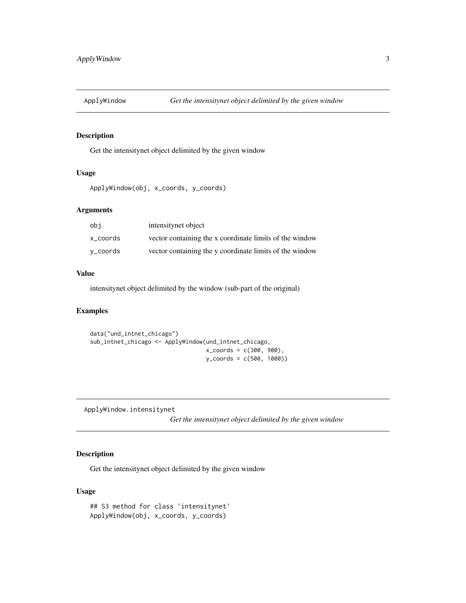<span id="page-2-0"></span>

#### Description

Get the intensitynet object delimited by the given window

#### Usage

```
ApplyWindow(obj, x_coords, y_coords)
```
# Arguments

| obi      | intensitynet object                                     |
|----------|---------------------------------------------------------|
| x coords | vector containing the x coordinate limits of the window |
| v_coords | vector containing the y coordinate limits of the window |

#### Value

intensitynet object delimited by the window (sub-part of the original)

# Examples

```
data("und_intnet_chicago")
sub_intnet_chicago <- ApplyWindow(und_intnet_chicago,
                                  x_coords = c(300, 900),
                                  y_coords = c(500, 1000))
```
ApplyWindow.intensitynet

*Get the intensitynet object delimited by the given window*

# Description

Get the intensitynet object delimited by the given window

```
## S3 method for class 'intensitynet'
ApplyWindow(obj, x_coords, y_coords)
```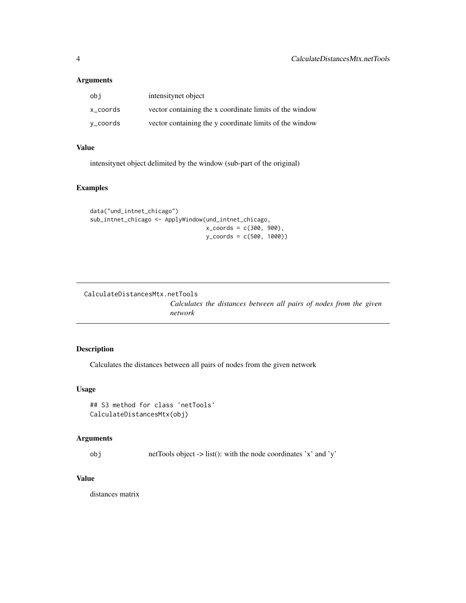<span id="page-3-0"></span>

| obj      | intensitynet object                                     |
|----------|---------------------------------------------------------|
| x_coords | vector containing the x coordinate limits of the window |
| v_coords | vector containing the y coordinate limits of the window |

# Value

intensitynet object delimited by the window (sub-part of the original)

# Examples

```
data("und_intnet_chicago")
sub_intnet_chicago <- ApplyWindow(und_intnet_chicago,
                                  x_coords = c(300, 900),
                                  y_coords = c(500, 1000))
```
CalculateDistancesMtx.netTools

*Calculates the distances between all pairs of nodes from the given network*

# Description

Calculates the distances between all pairs of nodes from the given network

# Usage

```
## S3 method for class 'netTools'
CalculateDistancesMtx(obj)
```
#### Arguments

obj netTools object -> list(): with the node coordinates 'x' and 'y'

# Value

distances matrix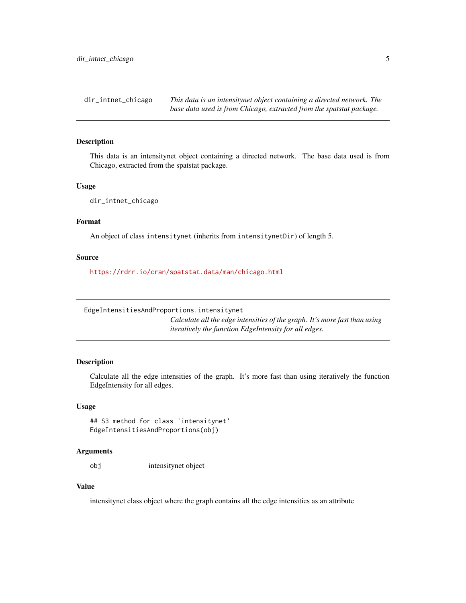<span id="page-4-0"></span>dir\_intnet\_chicago *This data is an intensitynet object containing a directed network. The base data used is from Chicago, extracted from the spatstat package.*

#### Description

This data is an intensitynet object containing a directed network. The base data used is from Chicago, extracted from the spatstat package.

#### Usage

dir\_intnet\_chicago

# Format

An object of class intensitynet (inherits from intensitynetDir) of length 5.

#### Source

<https://rdrr.io/cran/spatstat.data/man/chicago.html>

EdgeIntensitiesAndProportions.intensitynet

*Calculate all the edge intensities of the graph. It's more fast than using iteratively the function EdgeIntensity for all edges.*

#### Description

Calculate all the edge intensities of the graph. It's more fast than using iteratively the function EdgeIntensity for all edges.

#### Usage

## S3 method for class 'intensitynet' EdgeIntensitiesAndProportions(obj)

#### Arguments

obj intensitynet object

# Value

intensitynet class object where the graph contains all the edge intensities as an attribute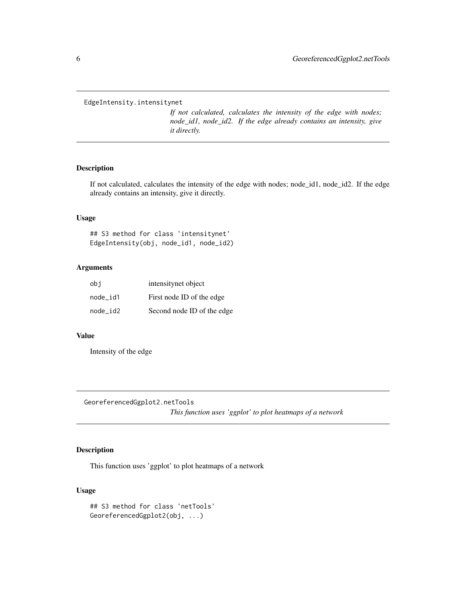<span id="page-5-0"></span>EdgeIntensity.intensitynet

*If not calculated, calculates the intensity of the edge with nodes; node\_id1, node\_id2. If the edge already contains an intensity, give it directly.*

### Description

If not calculated, calculates the intensity of the edge with nodes; node\_id1, node\_id2. If the edge already contains an intensity, give it directly.

# Usage

## S3 method for class 'intensitynet' EdgeIntensity(obj, node\_id1, node\_id2)

# Arguments

| obi      | intensitynet object        |
|----------|----------------------------|
| node id1 | First node ID of the edge  |
| node id2 | Second node ID of the edge |

# Value

Intensity of the edge

GeoreferencedGgplot2.netTools

*This function uses 'ggplot' to plot heatmaps of a network*

# Description

This function uses 'ggplot' to plot heatmaps of a network

```
## S3 method for class 'netTools'
GeoreferencedGgplot2(obj, ...)
```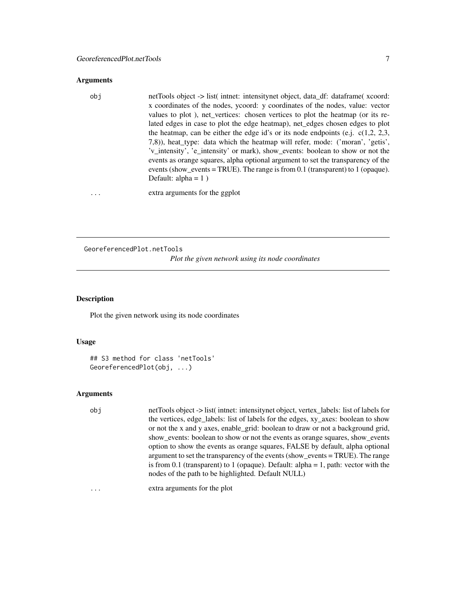<span id="page-6-0"></span>

| obi | netTools object -> list( intert: intensitynet object, data_df: dataframe( xcoord:<br>x coordinates of the nodes, ycoord: y coordinates of the nodes, value: vector<br>values to plot), net_vertices: chosen vertices to plot the heatmap (or its re-<br>lated edges in case to plot the edge heatmap), net_edges chosen edges to plot<br>the heatmap, can be either the edge id's or its node endpoints (e.j. $c(1,2, 2,3, 3)$<br>7,8)), heat_type: data which the heatmap will refer, mode: ('moran', 'getis',<br>'v_intensity', 'e_intensity' or mark), show_events: boolean to show or not the<br>events as orange squares, alpha optional argument to set the transparency of the<br>events (show_events = TRUE). The range is from 0.1 (transparent) to 1 (opaque).<br>Default: alpha = $1$ ) |
|-----|----------------------------------------------------------------------------------------------------------------------------------------------------------------------------------------------------------------------------------------------------------------------------------------------------------------------------------------------------------------------------------------------------------------------------------------------------------------------------------------------------------------------------------------------------------------------------------------------------------------------------------------------------------------------------------------------------------------------------------------------------------------------------------------------------|
|     |                                                                                                                                                                                                                                                                                                                                                                                                                                                                                                                                                                                                                                                                                                                                                                                                    |

... extra arguments for the ggplot

GeoreferencedPlot.netTools *Plot the given network using its node coordinates*

#### Description

Plot the given network using its node coordinates

#### Usage

```
## S3 method for class 'netTools'
GeoreferencedPlot(obj, ...)
```
#### Arguments

obj netTools object -> list( intnet: intensitynet object, vertex\_labels: list of labels for the vertices, edge\_labels: list of labels for the edges, xy\_axes: boolean to show or not the x and y axes, enable\_grid: boolean to draw or not a background grid, show\_events: boolean to show or not the events as orange squares, show\_events option to show the events as orange squares, FALSE by default, alpha optional argument to set the transparency of the events (show\_events = TRUE). The range is from 0.1 (transparent) to 1 (opaque). Default: alpha = 1, path: vector with the nodes of the path to be highlighted. Default NULL)

... extra arguments for the plot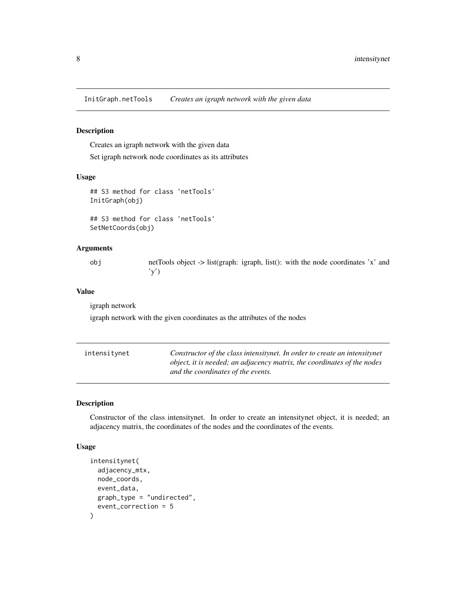<span id="page-7-0"></span>InitGraph.netTools *Creates an igraph network with the given data*

#### Description

Creates an igraph network with the given data

Set igraph network node coordinates as its attributes

#### Usage

```
## S3 method for class 'netTools'
InitGraph(obj)
```

```
## S3 method for class 'netTools'
SetNetCoords(obj)
```
# Arguments

obj netTools object -> list(graph: igraph, list(): with the node coordinates 'x' and 'y')

#### Value

igraph network

igraph network with the given coordinates as the attributes of the nodes

| intensitvnet | Constructor of the class intensitynet. In order to create an intensitynet |
|--------------|---------------------------------------------------------------------------|
|              | object, it is needed; an adjacency matrix, the coordinates of the nodes   |
|              | and the coordinates of the events.                                        |

# Description

Constructor of the class intensitynet. In order to create an intensitynet object, it is needed; an adjacency matrix, the coordinates of the nodes and the coordinates of the events.

```
intensitynet(
  adjacency_mtx,
 node_coords,
 event_data,
 graph_type = "undirected",
  event_correction = 5
)
```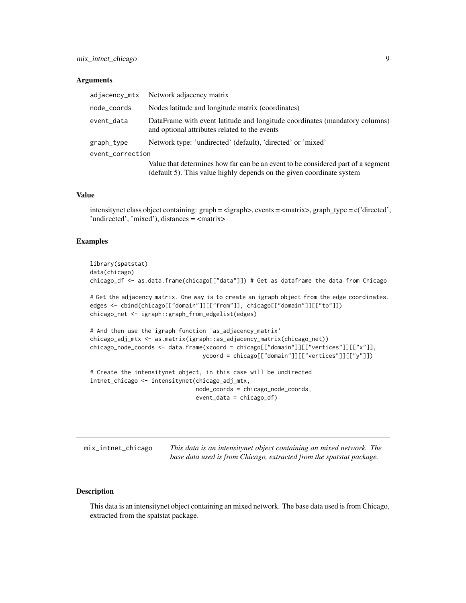<span id="page-8-0"></span>

| adjacency_mtx    | Network adjacency matrix                                                                                                                                  |
|------------------|-----------------------------------------------------------------------------------------------------------------------------------------------------------|
| node_coords      | Nodes latitude and longitude matrix (coordinates)                                                                                                         |
| event_data       | DataFrame with event latitude and longitude coordinates (mandatory columns)<br>and optional attributes related to the events                              |
| graph_type       | Network type: 'undirected' (default), 'directed' or 'mixed'                                                                                               |
| event_correction |                                                                                                                                                           |
|                  | Value that determines how far can be an event to be considered part of a segment<br>(default 5). This value highly depends on the given coordinate system |

#### Value

intensitynet class object containing: graph = <igraph>, events = <matrix>, graph\_type = c('directed', 'undirected', 'mixed'), distances = <matrix>

#### Examples

```
library(spatstat)
data(chicago)
chicago_df <- as.data.frame(chicago[["data"]]) # Get as dataframe the data from Chicago
# Get the adjacency matrix. One way is to create an igraph object from the edge coordinates.
edges <- cbind(chicago[["domain"]][["from"]], chicago[["domain"]][["to"]])
chicago_net <- igraph::graph_from_edgelist(edges)
# And then use the igraph function 'as_adjacency_matrix'
chicago_adj_mtx <- as.matrix(igraph::as_adjacency_matrix(chicago_net))
chicago_node_coords <- data.frame(xcoord = chicago[["domain"]][["vertices"]][["x"]],
                                 ycoord = chicago[["domain"]][["vertices"]][["y"]])
# Create the intensitynet object, in this case will be undirected
intnet_chicago <- intensitynet(chicago_adj_mtx,
                               node_coords = chicago_node_coords,
                               event_data = chicago_df)
```

| mix_intnet_chicago | This data is an intensitynet object containing an mixed network. The |
|--------------------|----------------------------------------------------------------------|
|                    | base data used is from Chicago, extracted from the spatstat package. |

# Description

This data is an intensitynet object containing an mixed network. The base data used is from Chicago, extracted from the spatstat package.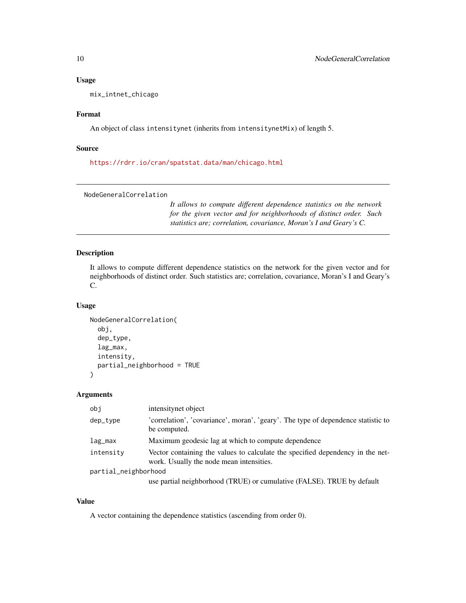#### Usage

mix\_intnet\_chicago

#### Format

An object of class intensitynet (inherits from intensitynetMix) of length 5.

#### Source

<https://rdrr.io/cran/spatstat.data/man/chicago.html>

NodeGeneralCorrelation

*It allows to compute different dependence statistics on the network for the given vector and for neighborhoods of distinct order. Such statistics are; correlation, covariance, Moran's I and Geary's C.*

#### Description

It allows to compute different dependence statistics on the network for the given vector and for neighborhoods of distinct order. Such statistics are; correlation, covariance, Moran's I and Geary's C.

#### Usage

```
NodeGeneralCorrelation(
  obj,
  dep_type,
  lag_max,
  intensity,
  partial_neighborhood = TRUE
)
```
Arguments

| obi                  | intensitynet object                                                                                                        |
|----------------------|----------------------------------------------------------------------------------------------------------------------------|
| dep_type             | 'correlation', 'covariance', moran', 'geary'. The type of dependence statistic to<br>be computed.                          |
| lag_max              | Maximum geodesic lag at which to compute dependence                                                                        |
| intensity            | Vector containing the values to calculate the specified dependency in the net-<br>work. Usually the node mean intensities. |
| partial_neighborhood |                                                                                                                            |
|                      | use partial neighborhood (TRUE) or cumulative (FALSE). TRUE by default                                                     |

# Value

A vector containing the dependence statistics (ascending from order 0).

<span id="page-9-0"></span>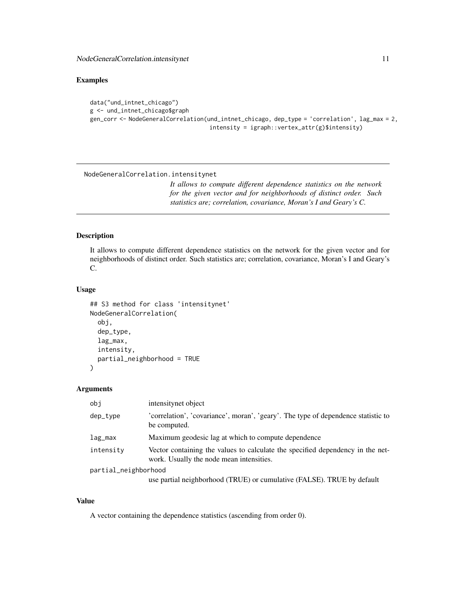#### <span id="page-10-0"></span>Examples

```
data("und_intnet_chicago")
g <- und_intnet_chicago$graph
gen_corr <- NodeGeneralCorrelation(und_intnet_chicago, dep_type = 'correlation', lag_max = 2,
                                   intensity = igraph::vertex_attr(g)$intensity)
```
NodeGeneralCorrelation.intensitynet

*It allows to compute different dependence statistics on the network for the given vector and for neighborhoods of distinct order. Such statistics are; correlation, covariance, Moran's I and Geary's C.*

# Description

It allows to compute different dependence statistics on the network for the given vector and for neighborhoods of distinct order. Such statistics are; correlation, covariance, Moran's I and Geary's C.

#### Usage

```
## S3 method for class 'intensitynet'
NodeGeneralCorrelation(
  obj,
  dep_type,
 lag_max,
  intensity,
 partial_neighborhood = TRUE
\lambda
```
# Arguments

| obi                  | intensitynet object                                                                                                        |
|----------------------|----------------------------------------------------------------------------------------------------------------------------|
| dep_type             | 'correlation', 'covariance', moran', 'geary'. The type of dependence statistic to<br>be computed.                          |
| lag_max              | Maximum geodesic lag at which to compute dependence                                                                        |
| intensity            | Vector containing the values to calculate the specified dependency in the net-<br>work. Usually the node mean intensities. |
| partial_neighborhood |                                                                                                                            |
|                      | use partial neighborhood (TRUE) or cumulative (FALSE). TRUE by default                                                     |

# Value

A vector containing the dependence statistics (ascending from order 0).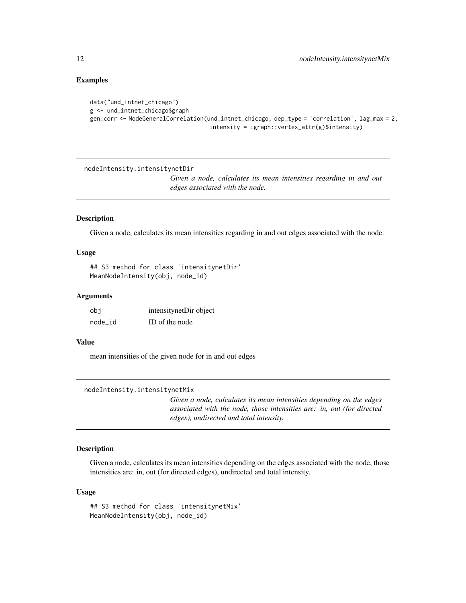#### Examples

```
data("und_intnet_chicago")
g <- und_intnet_chicago$graph
gen_corr <- NodeGeneralCorrelation(und_intnet_chicago, dep_type = 'correlation', lag_max = 2,
                                   intensity = ignph::vertex_attr(g)$$intensity)
```
nodeIntensity.intensitynetDir

*Given a node, calculates its mean intensities regarding in and out edges associated with the node.*

#### Description

Given a node, calculates its mean intensities regarding in and out edges associated with the node.

#### Usage

```
## S3 method for class 'intensitynetDir'
MeanNodeIntensity(obj, node_id)
```
#### Arguments

| obi     | intensitynetDir object |
|---------|------------------------|
| node id | ID of the node         |

#### Value

mean intensities of the given node for in and out edges

```
nodeIntensity.intensitynetMix
```
*Given a node, calculates its mean intensities depending on the edges associated with the node, those intensities are: in, out (for directed edges), undirected and total intensity.*

# Description

Given a node, calculates its mean intensities depending on the edges associated with the node, those intensities are: in, out (for directed edges), undirected and total intensity.

```
## S3 method for class 'intensitynetMix'
MeanNodeIntensity(obj, node_id)
```
<span id="page-11-0"></span>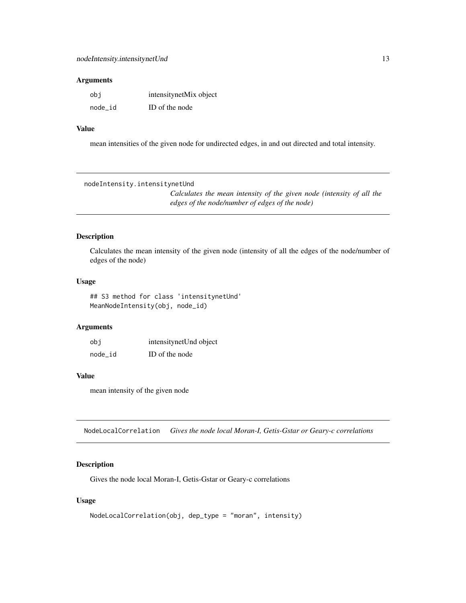<span id="page-12-0"></span>

| obi     | intensitynetMix object |
|---------|------------------------|
| node_id | ID of the node         |

#### Value

mean intensities of the given node for undirected edges, in and out directed and total intensity.

nodeIntensity.intensitynetUnd

*Calculates the mean intensity of the given node (intensity of all the edges of the node/number of edges of the node)*

#### Description

Calculates the mean intensity of the given node (intensity of all the edges of the node/number of edges of the node)

# Usage

## S3 method for class 'intensitynetUnd' MeanNodeIntensity(obj, node\_id)

# Arguments

| obi       | intensity net Und object |
|-----------|--------------------------|
| $node_id$ | ID of the node           |

# Value

mean intensity of the given node

NodeLocalCorrelation *Gives the node local Moran-I, Getis-Gstar or Geary-c correlations*

# Description

Gives the node local Moran-I, Getis-Gstar or Geary-c correlations

```
NodeLocalCorrelation(obj, dep_type = "moran", intensity)
```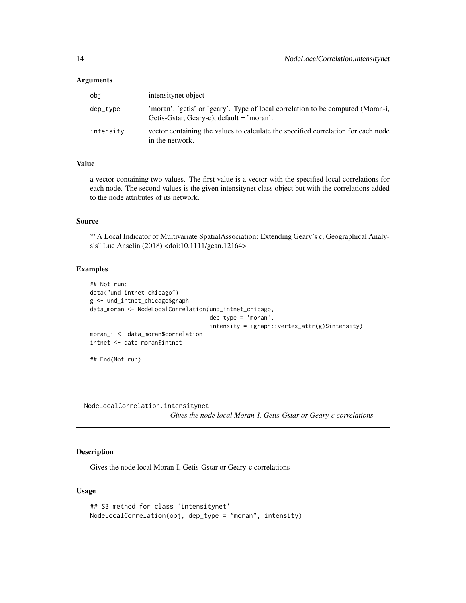<span id="page-13-0"></span>

| obi       | intensitynet object                                                                                                            |
|-----------|--------------------------------------------------------------------------------------------------------------------------------|
| dep_type  | 'moran', 'getis' or 'geary'. Type of local correlation to be computed (Moran-i,<br>Getis-Gstar, Geary-c), $default = 'moran'.$ |
| intensity | vector containing the values to calculate the specified correlation for each node<br>in the network.                           |

#### Value

a vector containing two values. The first value is a vector with the specified local correlations for each node. The second values is the given intensitynet class object but with the correlations added to the node attributes of its network.

# Source

\*"A Local Indicator of Multivariate SpatialAssociation: Extending Geary's c, Geographical Analysis" Luc Anselin (2018) <doi:10.1111/gean.12164>

#### Examples

```
## Not run:
data("und_intnet_chicago")
g <- und_intnet_chicago$graph
data_moran <- NodeLocalCorrelation(und_intnet_chicago,
                                   dep_type = 'moran',
                                   intensity = ignph::vertex_attr(g)$$intensity)moran_i <- data_moran$correlation
intnet <- data_moran$intnet
```
## End(Not run)

NodeLocalCorrelation.intensitynet

*Gives the node local Moran-I, Getis-Gstar or Geary-c correlations*

# Description

Gives the node local Moran-I, Getis-Gstar or Geary-c correlations

```
## S3 method for class 'intensitynet'
NodeLocalCorrelation(obj, dep_type = "moran", intensity)
```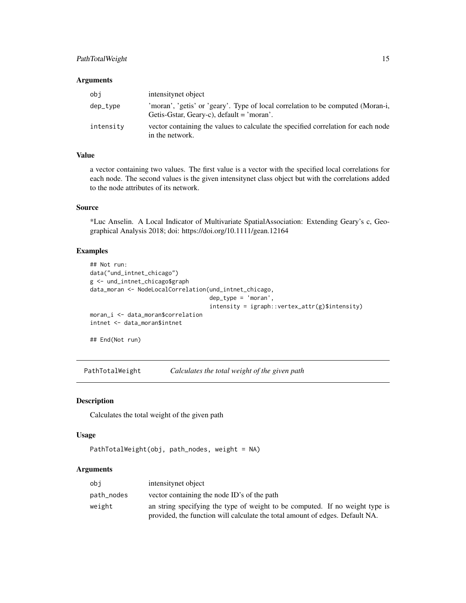# <span id="page-14-0"></span>PathTotalWeight 15

#### Arguments

| obi       | intensitynet object                                                                                                            |
|-----------|--------------------------------------------------------------------------------------------------------------------------------|
| dep_type  | 'moran', 'getis' or 'geary'. Type of local correlation to be computed (Moran-i,<br>Getis-Gstar, Geary-c), $default = 'moran'.$ |
| intensity | vector containing the values to calculate the specified correlation for each node<br>in the network.                           |

# Value

a vector containing two values. The first value is a vector with the specified local correlations for each node. The second values is the given intensitynet class object but with the correlations added to the node attributes of its network.

# Source

\*Luc Anselin. A Local Indicator of Multivariate SpatialAssociation: Extending Geary's c, Geographical Analysis 2018; doi: https://doi.org/10.1111/gean.12164

# Examples

```
## Not run:
data("und_intnet_chicago")
g <- und_intnet_chicago$graph
data_moran <- NodeLocalCorrelation(und_intnet_chicago,
                                   dep_type = 'moran',
                                   intensity = igraph::vertex_attr(g)$intensity)
moran_i <- data_moran$correlation
intnet <- data_moran$intnet
```
## End(Not run)

PathTotalWeight *Calculates the total weight of the given path*

#### Description

Calculates the total weight of the given path

#### Usage

```
PathTotalWeight(obj, path_nodes, weight = NA)
```
# Arguments

| obi        | intensitynet object                                                          |
|------------|------------------------------------------------------------------------------|
| path_nodes | vector containing the node ID's of the path                                  |
| weight     | an string specifying the type of weight to be computed. If no weight type is |
|            | provided, the function will calculate the total amount of edges. Default NA. |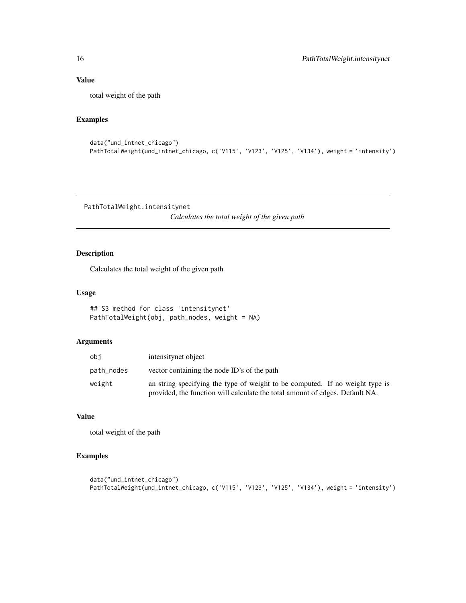# <span id="page-15-0"></span>Value

total weight of the path

# Examples

```
data("und_intnet_chicago")
PathTotalWeight(und_intnet_chicago, c('V115', 'V123', 'V125', 'V134'), weight = 'intensity')
```
PathTotalWeight.intensitynet

*Calculates the total weight of the given path*

# Description

Calculates the total weight of the given path

# Usage

```
## S3 method for class 'intensitynet'
PathTotalWeight(obj, path_nodes, weight = NA)
```
# Arguments

| obi        | intensitynet object                                                                                                                                          |
|------------|--------------------------------------------------------------------------------------------------------------------------------------------------------------|
| path_nodes | vector containing the node ID's of the path                                                                                                                  |
| weight     | an string specifying the type of weight to be computed. If no weight type is<br>provided, the function will calculate the total amount of edges. Default NA. |

# Value

total weight of the path

# Examples

```
data("und_intnet_chicago")
PathTotalWeight(und_intnet_chicago, c('V115', 'V123', 'V125', 'V134'), weight = 'intensity')
```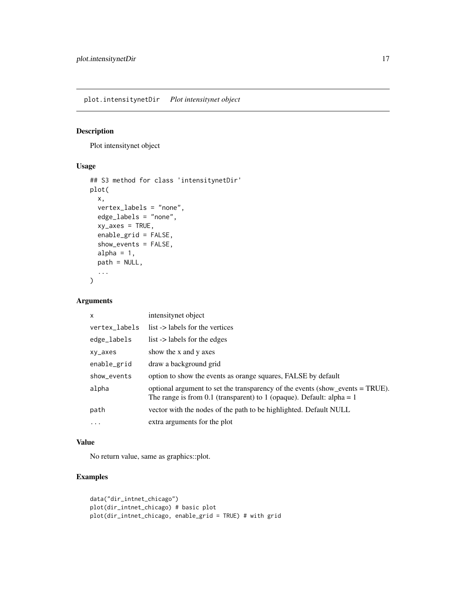<span id="page-16-0"></span>plot.intensitynetDir *Plot intensitynet object*

# Description

Plot intensitynet object

# Usage

```
## S3 method for class 'intensitynetDir'
plot(
  x,
  vertex_labels = "none",
  edge_labels = "none",
  xy\_\nexists x \in S = \text{TRUE}enable_grid = FALSE,
  show_events = FALSE,
  alpha = 1,
  path = NULL,
  ...
)
```
# Arguments

| $\mathsf{x}$  | intensitynet object                                                                                                                                    |
|---------------|--------------------------------------------------------------------------------------------------------------------------------------------------------|
| vertex_labels | list -> labels for the vertices                                                                                                                        |
| edge_labels   | list -> labels for the edges                                                                                                                           |
| xy_axes       | show the x and y axes                                                                                                                                  |
| enable_grid   | draw a background grid                                                                                                                                 |
| show_events   | option to show the events as orange squares, FALSE by default                                                                                          |
| alpha         | optional argument to set the transparency of the events (show_events = TRUE).<br>The range is from 0.1 (transparent) to 1 (opaque). Default: alpha = 1 |
| path          | vector with the nodes of the path to be highlighted. Default NULL                                                                                      |
| $\cdots$      | extra arguments for the plot                                                                                                                           |

# Value

No return value, same as graphics::plot.

# Examples

```
data("dir_intnet_chicago")
plot(dir_intnet_chicago) # basic plot
plot(dir_intnet_chicago, enable_grid = TRUE) # with grid
```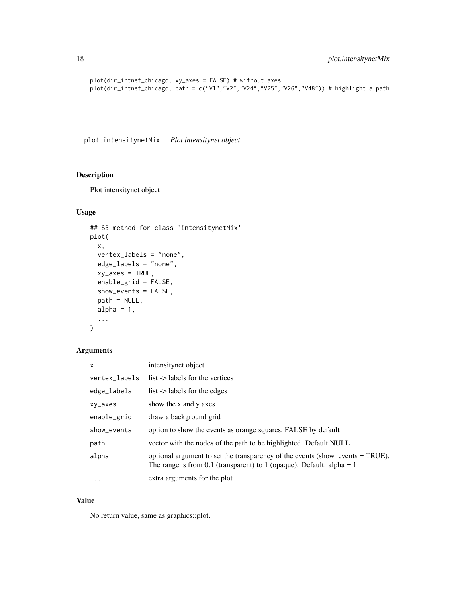```
plot(dir_intnet_chicago, xy_axes = FALSE) # without axes
plot(dir_intnet_chicago, path = c("V1","V2","V24","V25","V26","V48")) # highlight a path
```
plot.intensitynetMix *Plot intensitynet object*

# Description

Plot intensitynet object

# Usage

```
## S3 method for class 'intensitynetMix'
plot(
  x,
  vertex_labels = "none",
  edge_labels = "none",
  xy\_\nexists x \in S = TRUE,
  enable_grid = FALSE,
  show_events = FALSE,
  path = NULL,
  alpha = 1,
  ...
\mathcal{L}
```
# Arguments

| $\times$      | intensitynet object                                                                                                                                    |
|---------------|--------------------------------------------------------------------------------------------------------------------------------------------------------|
| vertex_labels | list -> labels for the vertices                                                                                                                        |
| edge_labels   | list -> labels for the edges                                                                                                                           |
| xy_axes       | show the x and y axes                                                                                                                                  |
| enable_grid   | draw a background grid                                                                                                                                 |
| show_events   | option to show the events as orange squares, FALSE by default                                                                                          |
| path          | vector with the nodes of the path to be highlighted. Default NULL                                                                                      |
| alpha         | optional argument to set the transparency of the events (show_events = TRUE).<br>The range is from 0.1 (transparent) to 1 (opaque). Default: alpha = 1 |
| $\cdots$      | extra arguments for the plot                                                                                                                           |

#### Value

No return value, same as graphics::plot.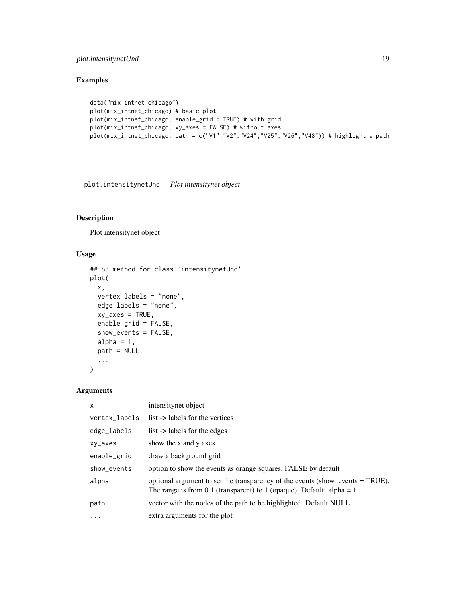# <span id="page-18-0"></span>plot.intensitynetUnd 19

# Examples

```
data("mix_intnet_chicago")
plot(mix_intnet_chicago) # basic plot
plot(mix_intnet_chicago, enable_grid = TRUE) # with grid
plot(mix_intnet_chicago, xy_axes = FALSE) # without axes
plot(mix_intnet_chicago, path = c("V1","V2","V24","V25","V26","V48")) # highlight a path
```
plot.intensitynetUnd *Plot intensitynet object*

# Description

Plot intensitynet object

#### Usage

```
## S3 method for class 'intensitynetUnd'
plot(
  x,
  vertex_labels = "none",
  edge_labels = "none",
  xy\_\nexists x \in S = TRUE,
  enable_grid = FALSE,
  show_events = FALSE,
  alpha = 1,
  path = NULL,
  ...
)
```
# Arguments

| $\mathsf{x}$  | intensitynet object                                                                                                                                    |
|---------------|--------------------------------------------------------------------------------------------------------------------------------------------------------|
| vertex_labels | list -> labels for the vertices                                                                                                                        |
| edge_labels   | list -> labels for the edges                                                                                                                           |
| xy_axes       | show the x and y axes                                                                                                                                  |
| enable_grid   | draw a background grid                                                                                                                                 |
| show_events   | option to show the events as orange squares, FALSE by default                                                                                          |
| alpha         | optional argument to set the transparency of the events (show_events = TRUE).<br>The range is from 0.1 (transparent) to 1 (opaque). Default: alpha = 1 |
| path          | vector with the nodes of the path to be highlighted. Default NULL                                                                                      |
| $\ddotsc$     | extra arguments for the plot                                                                                                                           |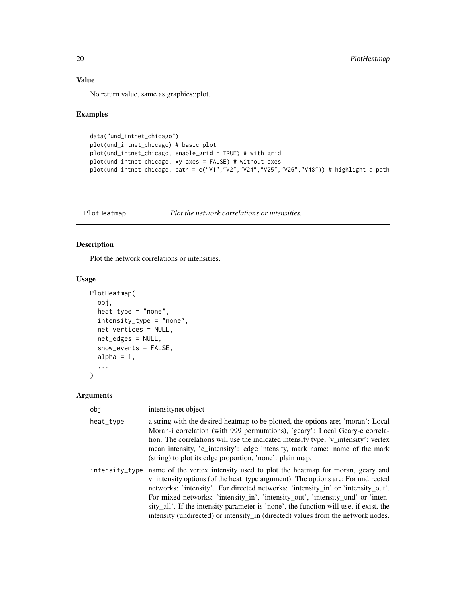# <span id="page-19-0"></span>Value

No return value, same as graphics::plot.

# Examples

```
data("und_intnet_chicago")
plot(und_intnet_chicago) # basic plot
plot(und_intnet_chicago, enable_grid = TRUE) # with grid
plot(und_intnet_chicago, xy_axes = FALSE) # without axes
plot(und_intnet_chicago, path = c("V1","V2","V24","V25","V26","V48")) # highlight a path
```
PlotHeatmap *Plot the network correlations or intensities.*

# Description

Plot the network correlations or intensities.

#### Usage

```
PlotHeatmap(
  obj,
  heat_type = "none",
  intensity_type = "none",
  net_vertices = NULL,
 net_edges = NULL,
  show_events = FALSE,
 alpha = 1,
  ...
)
```
#### Arguments

| obj            | intensitynet object                                                                                                                                                                                                                                                                                                                                                                                                                                                                                                |
|----------------|--------------------------------------------------------------------------------------------------------------------------------------------------------------------------------------------------------------------------------------------------------------------------------------------------------------------------------------------------------------------------------------------------------------------------------------------------------------------------------------------------------------------|
| heat_type      | a string with the desired heatmap to be plotted, the options are; 'moran': Local<br>Moran-i correlation (with 999 permutations), 'geary': Local Geary-c correla-<br>tion. The correlations will use the indicated intensity type, 'v_intensity': vertex<br>mean intensity, 'e_intensity': edge intensity, mark name: name of the mark<br>(string) to plot its edge proportion, 'none': plain map.                                                                                                                  |
| intensity_type | name of the vertex intensity used to plot the heatmap for moran, geary and<br>v_intensity options (of the heat_type argument). The options are; For undirected<br>networks: 'intensity'. For directed networks: 'intensity_in' or 'intensity_out'.<br>For mixed networks: 'intensity_in', 'intensity_out', 'intensity_und' or 'inten-<br>sity_all'. If the intensity parameter is 'none', the function will use, if exist, the<br>intensity (undirected) or intensity in (directed) values from the network nodes. |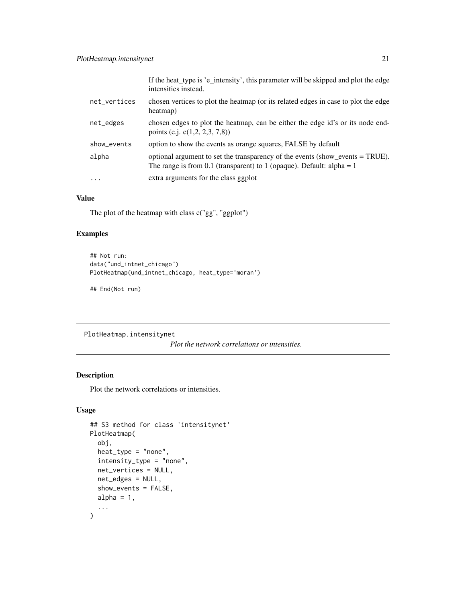<span id="page-20-0"></span>

|              | If the heat type is 'e_intensity', this parameter will be skipped and plot the edge<br>intensities instead.                                            |
|--------------|--------------------------------------------------------------------------------------------------------------------------------------------------------|
| net_vertices | chosen vertices to plot the heatmap (or its related edges in case to plot the edge<br>heatmap)                                                         |
| net_edges    | chosen edges to plot the heatmap, can be either the edge id's or its node end-<br>points (e.j. $c(1,2, 2,3, 7,8)$ )                                    |
| show_events  | option to show the events as orange squares, FALSE by default                                                                                          |
| alpha        | optional argument to set the transparency of the events (show_events = TRUE).<br>The range is from 0.1 (transparent) to 1 (opaque). Default: alpha = 1 |
| $\ddotsc$    | extra arguments for the class ggplot                                                                                                                   |

# Value

The plot of the heatmap with class c("gg", "ggplot")

#### Examples

```
## Not run:
data("und_intnet_chicago")
PlotHeatmap(und_intnet_chicago, heat_type='moran')
```
## End(Not run)

PlotHeatmap.intensitynet

*Plot the network correlations or intensities.*

#### Description

Plot the network correlations or intensities.

```
## S3 method for class 'intensitynet'
PlotHeatmap(
  obj,
  heat_type = "none",
  intensity_type = "none",
 net_vertices = NULL,
 net_edges = NULL,
  show_events = FALSE,
 alpha = 1,
  ...
\mathcal{L}
```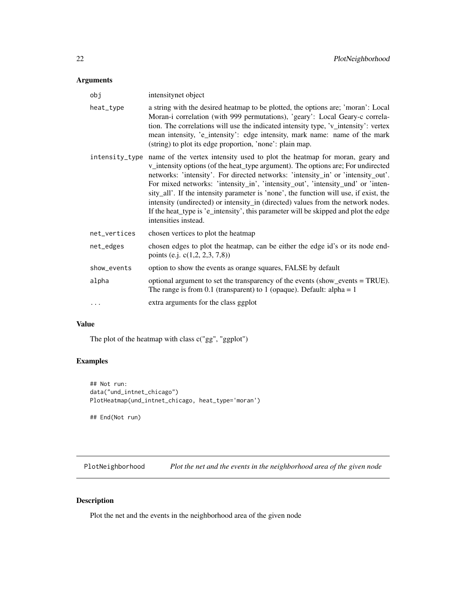<span id="page-21-0"></span>

| obj            | intensitynet object                                                                                                                                                                                                                                                                                                                                                                                                                                                                                                                                                                                                               |
|----------------|-----------------------------------------------------------------------------------------------------------------------------------------------------------------------------------------------------------------------------------------------------------------------------------------------------------------------------------------------------------------------------------------------------------------------------------------------------------------------------------------------------------------------------------------------------------------------------------------------------------------------------------|
| heat_type      | a string with the desired heatmap to be plotted, the options are; 'moran': Local<br>Moran-i correlation (with 999 permutations), 'geary': Local Geary-c correla-<br>tion. The correlations will use the indicated intensity type, 'v_intensity': vertex<br>mean intensity, 'e_intensity': edge intensity, mark name: name of the mark<br>(string) to plot its edge proportion, 'none': plain map.                                                                                                                                                                                                                                 |
| intensity_type | name of the vertex intensity used to plot the heatmap for moran, geary and<br>v_intensity options (of the heat_type argument). The options are; For undirected<br>networks: 'intensity'. For directed networks: 'intensity_in' or 'intensity_out'.<br>For mixed networks: 'intensity_in', 'intensity_out', 'intensity_und' or 'inten-<br>sity_all'. If the intensity parameter is 'none', the function will use, if exist, the<br>intensity (undirected) or intensity_in (directed) values from the network nodes.<br>If the heat_type is 'e_intensity', this parameter will be skipped and plot the edge<br>intensities instead. |
| net_vertices   | chosen vertices to plot the heatmap                                                                                                                                                                                                                                                                                                                                                                                                                                                                                                                                                                                               |
| net_edges      | chosen edges to plot the heatmap, can be either the edge id's or its node end-<br>points (e.j. c(1,2, 2,3, 7,8))                                                                                                                                                                                                                                                                                                                                                                                                                                                                                                                  |
| show_events    | option to show the events as orange squares, FALSE by default                                                                                                                                                                                                                                                                                                                                                                                                                                                                                                                                                                     |
| alpha          | optional argument to set the transparency of the events (show_events = TRUE).<br>The range is from 0.1 (transparent) to 1 (opaque). Default: alpha = 1                                                                                                                                                                                                                                                                                                                                                                                                                                                                            |
| $\cdots$       | extra arguments for the class ggplot                                                                                                                                                                                                                                                                                                                                                                                                                                                                                                                                                                                              |

#### Value

The plot of the heatmap with class c("gg", "ggplot")

# Examples

```
## Not run:
data("und_intnet_chicago")
PlotHeatmap(und_intnet_chicago, heat_type='moran')
```
## End(Not run)

PlotNeighborhood *Plot the net and the events in the neighborhood area of the given node*

# Description

Plot the net and the events in the neighborhood area of the given node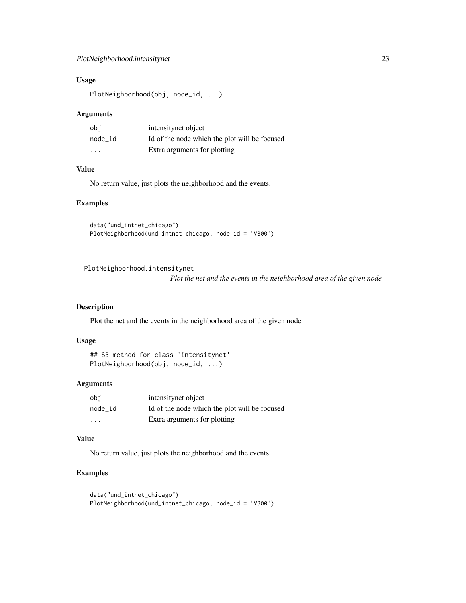# <span id="page-22-0"></span>Usage

PlotNeighborhood(obj, node\_id, ...)

#### Arguments

| obi               | intensitynet object                           |
|-------------------|-----------------------------------------------|
| node id           | Id of the node which the plot will be focused |
| $\cdot\cdot\cdot$ | Extra arguments for plotting                  |

# Value

No return value, just plots the neighborhood and the events.

#### Examples

data("und\_intnet\_chicago") PlotNeighborhood(und\_intnet\_chicago, node\_id = 'V300')

PlotNeighborhood.intensitynet

*Plot the net and the events in the neighborhood area of the given node*

#### Description

Plot the net and the events in the neighborhood area of the given node

# Usage

```
## S3 method for class 'intensitynet'
PlotNeighborhood(obj, node_id, ...)
```
#### Arguments

| obi     | intensitynet object                           |
|---------|-----------------------------------------------|
| node id | Id of the node which the plot will be focused |
| .       | Extra arguments for plotting                  |

#### Value

No return value, just plots the neighborhood and the events.

# Examples

```
data("und_intnet_chicago")
PlotNeighborhood(und_intnet_chicago, node_id = 'V300')
```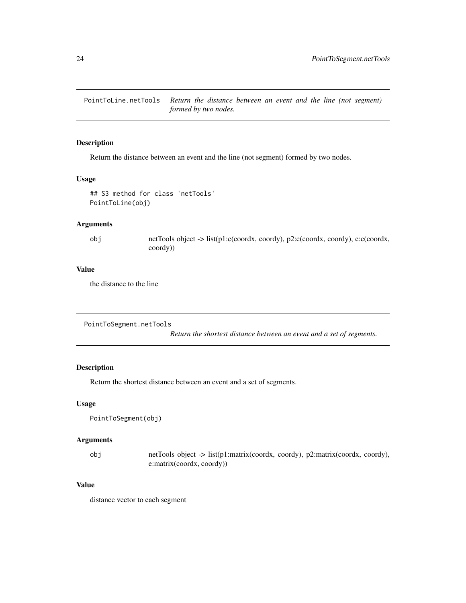<span id="page-23-0"></span>PointToLine.netTools *Return the distance between an event and the line (not segment) formed by two nodes.*

#### Description

Return the distance between an event and the line (not segment) formed by two nodes.

#### Usage

```
## S3 method for class 'netTools'
PointToLine(obj)
```
#### Arguments

obj netTools object -> list(p1:c(coordx, coordy), p2:c(coordx, coordy), e:c(coordx, coordy))

#### Value

the distance to the line

```
PointToSegment.netTools
```
*Return the shortest distance between an event and a set of segments.*

# Description

Return the shortest distance between an event and a set of segments.

#### Usage

```
PointToSegment(obj)
```
# Arguments

| obj | netTools object -> list(p1:matrix(coordx, coordy), p2:matrix(coordx, coordy), |
|-----|-------------------------------------------------------------------------------|
|     | e:matrix(cordx, coordy)                                                       |

# Value

distance vector to each segment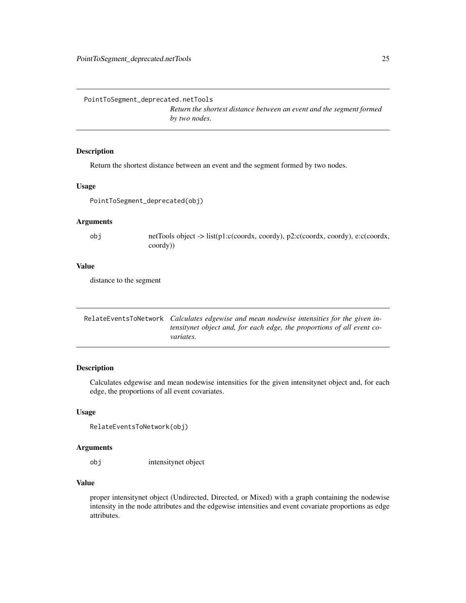<span id="page-24-0"></span>PointToSegment\_deprecated.netTools

*Return the shortest distance between an event and the segment formed by two nodes.*

# Description

Return the shortest distance between an event and the segment formed by two nodes.

#### Usage

PointToSegment\_deprecated(obj)

# Arguments

obj netTools object -> list(p1:c(coordx, coordy), p2:c(coordx, coordy), e:c(coordx, coordy))

#### Value

distance to the segment

| RelateEventsToNetwork <i>Calculates edgewise and mean nodewise intensities for the given in-</i> |
|--------------------------------------------------------------------------------------------------|
| tensitynet object and, for each edge, the proportions of all event co-                           |
| <i>variates.</i>                                                                                 |

# Description

Calculates edgewise and mean nodewise intensities for the given intensitynet object and, for each edge, the proportions of all event covariates.

#### Usage

```
RelateEventsToNetwork(obj)
```
#### Arguments

obj intensitynet object

#### Value

proper intensitynet object (Undirected, Directed, or Mixed) with a graph containing the nodewise intensity in the node attributes and the edgewise intensities and event covariate proportions as edge attributes.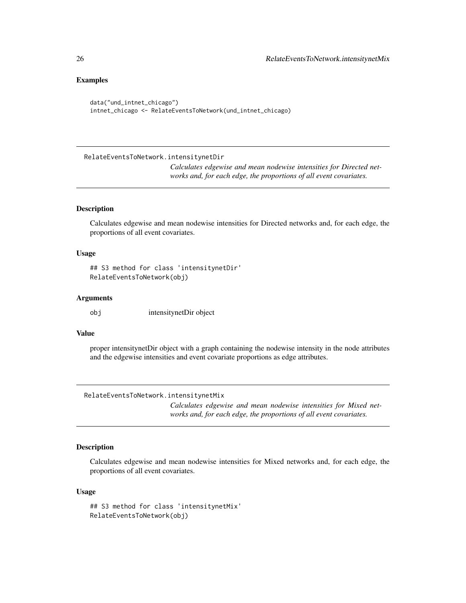#### Examples

```
data("und_intnet_chicago")
intnet_chicago <- RelateEventsToNetwork(und_intnet_chicago)
```
RelateEventsToNetwork.intensitynetDir

*Calculates edgewise and mean nodewise intensities for Directed networks and, for each edge, the proportions of all event covariates.*

# **Description**

Calculates edgewise and mean nodewise intensities for Directed networks and, for each edge, the proportions of all event covariates.

#### Usage

## S3 method for class 'intensitynetDir' RelateEventsToNetwork(obj)

#### **Arguments**

obj intensitynetDir object

#### Value

proper intensitynetDir object with a graph containing the nodewise intensity in the node attributes and the edgewise intensities and event covariate proportions as edge attributes.

RelateEventsToNetwork.intensitynetMix

*Calculates edgewise and mean nodewise intensities for Mixed networks and, for each edge, the proportions of all event covariates.*

# Description

Calculates edgewise and mean nodewise intensities for Mixed networks and, for each edge, the proportions of all event covariates.

```
## S3 method for class 'intensitynetMix'
RelateEventsToNetwork(obj)
```
<span id="page-25-0"></span>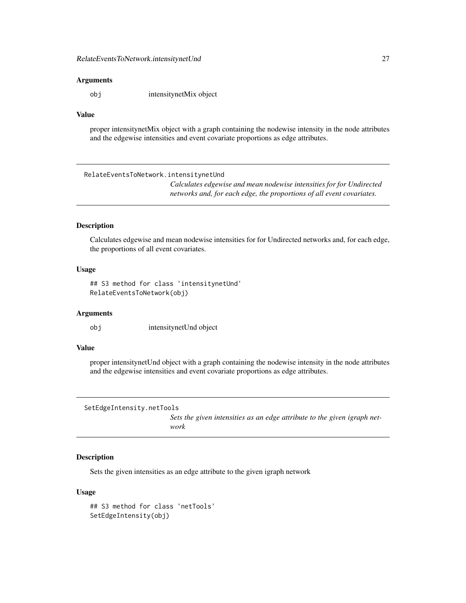<span id="page-26-0"></span>obj intensitynetMix object

#### Value

proper intensitynetMix object with a graph containing the nodewise intensity in the node attributes and the edgewise intensities and event covariate proportions as edge attributes.

RelateEventsToNetwork.intensitynetUnd

*Calculates edgewise and mean nodewise intensities for for Undirected networks and, for each edge, the proportions of all event covariates.*

# Description

Calculates edgewise and mean nodewise intensities for for Undirected networks and, for each edge, the proportions of all event covariates.

#### Usage

## S3 method for class 'intensitynetUnd' RelateEventsToNetwork(obj)

#### Arguments

obj intensitynetUnd object

# Value

proper intensitynetUnd object with a graph containing the nodewise intensity in the node attributes and the edgewise intensities and event covariate proportions as edge attributes.

```
SetEdgeIntensity.netTools
```
*Sets the given intensities as an edge attribute to the given igraph network*

# Description

Sets the given intensities as an edge attribute to the given igraph network

```
## S3 method for class 'netTools'
SetEdgeIntensity(obj)
```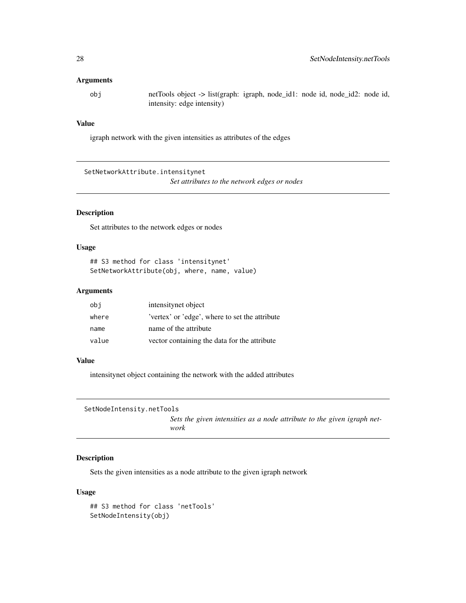<span id="page-27-0"></span>obj netTools object -> list(graph: igraph, node\_id1: node id, node\_id2: node id, intensity: edge intensity)

# Value

igraph network with the given intensities as attributes of the edges

SetNetworkAttribute.intensitynet

*Set attributes to the network edges or nodes*

# Description

Set attributes to the network edges or nodes

# Usage

## S3 method for class 'intensitynet' SetNetworkAttribute(obj, where, name, value)

#### Arguments

| obi   | intensitynet object                           |
|-------|-----------------------------------------------|
| where | vertex' or 'edge', where to set the attribute |
| name  | name of the attribute                         |
| value | vector containing the data for the attribute  |

# Value

intensitynet object containing the network with the added attributes

```
SetNodeIntensity.netTools
```
*Sets the given intensities as a node attribute to the given igraph network*

# Description

Sets the given intensities as a node attribute to the given igraph network

```
## S3 method for class 'netTools'
SetNodeIntensity(obj)
```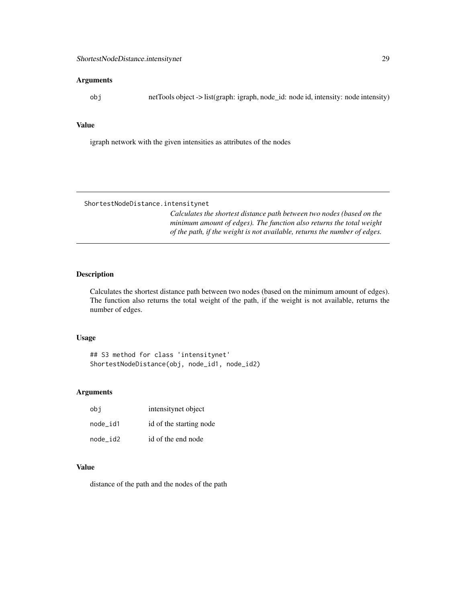<span id="page-28-0"></span>obj netTools object -> list(graph: igraph, node\_id: node id, intensity: node intensity)

#### Value

igraph network with the given intensities as attributes of the nodes

ShortestNodeDistance.intensitynet

*Calculates the shortest distance path between two nodes (based on the minimum amount of edges). The function also returns the total weight of the path, if the weight is not available, returns the number of edges.*

# Description

Calculates the shortest distance path between two nodes (based on the minimum amount of edges). The function also returns the total weight of the path, if the weight is not available, returns the number of edges.

#### Usage

## S3 method for class 'intensitynet' ShortestNodeDistance(obj, node\_id1, node\_id2)

#### Arguments

| obi      | intensitynet object     |
|----------|-------------------------|
| node id1 | id of the starting node |
| node id2 | id of the end node      |

# Value

distance of the path and the nodes of the path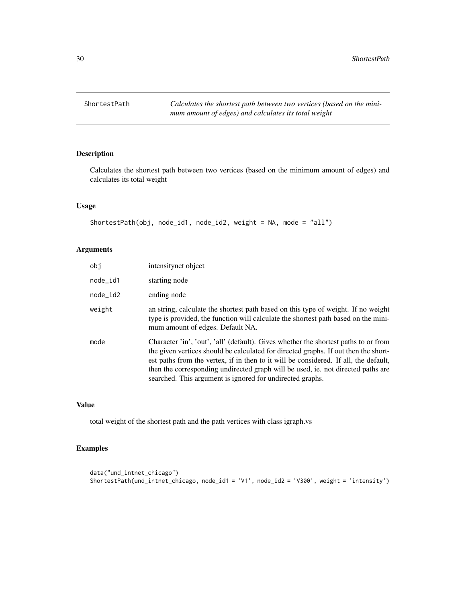<span id="page-29-0"></span>

# Description

Calculates the shortest path between two vertices (based on the minimum amount of edges) and calculates its total weight

### Usage

```
ShortestPath(obj, node_id1, node_id2, weight = NA, mode = "all")
```
# Arguments

| obi        | intensitynet object                                                                                                                                                                                                                                                                                                                                                                                                 |
|------------|---------------------------------------------------------------------------------------------------------------------------------------------------------------------------------------------------------------------------------------------------------------------------------------------------------------------------------------------------------------------------------------------------------------------|
| node_id1   | starting node                                                                                                                                                                                                                                                                                                                                                                                                       |
| $node_id2$ | ending node                                                                                                                                                                                                                                                                                                                                                                                                         |
| weight     | an string, calculate the shortest path based on this type of weight. If no weight<br>type is provided, the function will calculate the shortest path based on the mini-<br>mum amount of edges. Default NA.                                                                                                                                                                                                         |
| mode       | Character 'in', 'out', 'all' (default). Gives whether the shortest paths to or from<br>the given vertices should be calculated for directed graphs. If out then the short-<br>est paths from the vertex, if in then to it will be considered. If all, the default,<br>then the corresponding undirected graph will be used, ie. not directed paths are<br>searched. This argument is ignored for undirected graphs. |

# Value

total weight of the shortest path and the path vertices with class igraph.vs

# Examples

```
data("und_intnet_chicago")
ShortestPath(und_intnet_chicago, node_id1 = 'V1', node_id2 = 'V300', weight = 'intensity')
```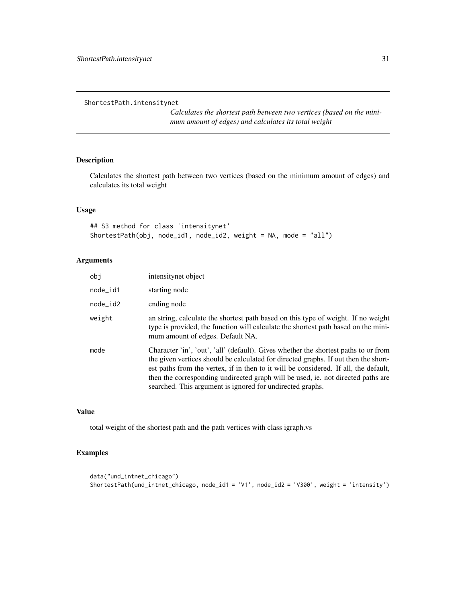<span id="page-30-0"></span>ShortestPath.intensitynet

*Calculates the shortest path between two vertices (based on the minimum amount of edges) and calculates its total weight*

#### Description

Calculates the shortest path between two vertices (based on the minimum amount of edges) and calculates its total weight

# Usage

## S3 method for class 'intensitynet' ShortestPath(obj, node\_id1, node\_id2, weight = NA, mode = "all")

# Arguments

| obi        | intensitynet object                                                                                                                                                                                                                                                                                                                                                                                                 |
|------------|---------------------------------------------------------------------------------------------------------------------------------------------------------------------------------------------------------------------------------------------------------------------------------------------------------------------------------------------------------------------------------------------------------------------|
| $node_id1$ | starting node                                                                                                                                                                                                                                                                                                                                                                                                       |
| $node_id2$ | ending node                                                                                                                                                                                                                                                                                                                                                                                                         |
| weight     | an string, calculate the shortest path based on this type of weight. If no weight<br>type is provided, the function will calculate the shortest path based on the mini-<br>mum amount of edges. Default NA.                                                                                                                                                                                                         |
| mode       | Character 'in', 'out', 'all' (default). Gives whether the shortest paths to or from<br>the given vertices should be calculated for directed graphs. If out then the short-<br>est paths from the vertex, if in then to it will be considered. If all, the default,<br>then the corresponding undirected graph will be used, ie. not directed paths are<br>searched. This argument is ignored for undirected graphs. |

#### Value

total weight of the shortest path and the path vertices with class igraph.vs

# Examples

```
data("und_intnet_chicago")
ShortestPath(und_intnet_chicago, node_id1 = 'V1', node_id2 = 'V300', weight = 'intensity')
```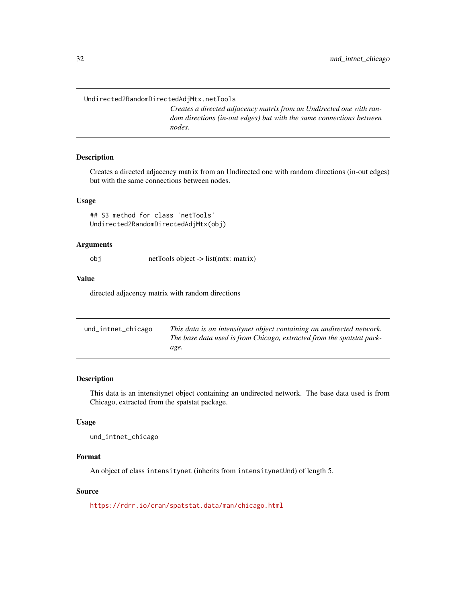<span id="page-31-0"></span>Undirected2RandomDirectedAdjMtx.netTools

*Creates a directed adjacency matrix from an Undirected one with random directions (in-out edges) but with the same connections between nodes.*

#### Description

Creates a directed adjacency matrix from an Undirected one with random directions (in-out edges) but with the same connections between nodes.

#### Usage

```
## S3 method for class 'netTools'
Undirected2RandomDirectedAdjMtx(obj)
```
#### Arguments

obj netTools object -> list(mtx: matrix)

#### Value

directed adjacency matrix with random directions

| und_intnet_chicago | This data is an intensitynet object containing an undirected network. |
|--------------------|-----------------------------------------------------------------------|
|                    | The base data used is from Chicago, extracted from the spatstat pack- |
|                    | age.                                                                  |

#### Description

This data is an intensitynet object containing an undirected network. The base data used is from Chicago, extracted from the spatstat package.

# Usage

```
und_intnet_chicago
```
# Format

An object of class intensitynet (inherits from intensitynetUnd) of length 5.

#### Source

<https://rdrr.io/cran/spatstat.data/man/chicago.html>